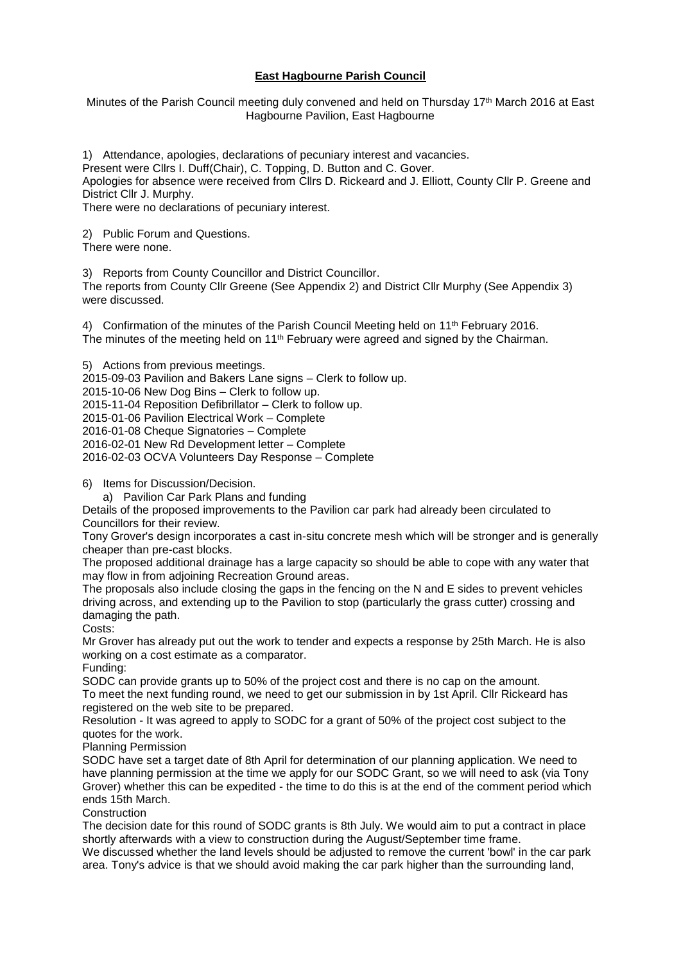### **East Hagbourne Parish Council**

Minutes of the Parish Council meeting duly convened and held on Thursday 17<sup>th</sup> March 2016 at East Hagbourne Pavilion, East Hagbourne

1) Attendance, apologies, declarations of pecuniary interest and vacancies.

Present were Cllrs I. Duff(Chair), C. Topping, D. Button and C. Gover.

Apologies for absence were received from Cllrs D. Rickeard and J. Elliott, County Cllr P. Greene and District Cllr J. Murphy.

There were no declarations of pecuniary interest.

2) Public Forum and Questions.

There were none.

3) Reports from County Councillor and District Councillor.

The reports from County Cllr Greene (See Appendix 2) and District Cllr Murphy (See Appendix 3) were discussed.

4) Confirmation of the minutes of the Parish Council Meeting held on 11<sup>th</sup> February 2016. The minutes of the meeting held on  $11<sup>th</sup>$  February were agreed and signed by the Chairman.

5) Actions from previous meetings. 2015-09-03 Pavilion and Bakers Lane signs – Clerk to follow up. 2015-10-06 New Dog Bins – Clerk to follow up. 2015-11-04 Reposition Defibrillator – Clerk to follow up. 2015-01-06 Pavilion Electrical Work – Complete 2016-01-08 Cheque Signatories – Complete 2016-02-01 New Rd Development letter – Complete 2016-02-03 OCVA Volunteers Day Response – Complete

6) Items for Discussion/Decision.

a) Pavilion Car Park Plans and funding

Details of the proposed improvements to the Pavilion car park had already been circulated to Councillors for their review.

Tony Grover's design incorporates a cast in-situ concrete mesh which will be stronger and is generally cheaper than pre-cast blocks.

The proposed additional drainage has a large capacity so should be able to cope with any water that may flow in from adjoining Recreation Ground areas.

The proposals also include closing the gaps in the fencing on the N and E sides to prevent vehicles driving across, and extending up to the Pavilion to stop (particularly the grass cutter) crossing and damaging the path.

Costs:

Mr Grover has already put out the work to tender and expects a response by 25th March. He is also working on a cost estimate as a comparator.

Funding:

SODC can provide grants up to 50% of the project cost and there is no cap on the amount. To meet the next funding round, we need to get our submission in by 1st April. Cllr Rickeard has registered on the web site to be prepared.

Resolution - It was agreed to apply to SODC for a grant of 50% of the project cost subject to the quotes for the work.

Planning Permission

SODC have set a target date of 8th April for determination of our planning application. We need to have planning permission at the time we apply for our SODC Grant, so we will need to ask (via Tony Grover) whether this can be expedited - the time to do this is at the end of the comment period which ends 15th March.

Construction

The decision date for this round of SODC grants is 8th July. We would aim to put a contract in place shortly afterwards with a view to construction during the August/September time frame.

We discussed whether the land levels should be adjusted to remove the current 'bowl' in the car park area. Tony's advice is that we should avoid making the car park higher than the surrounding land,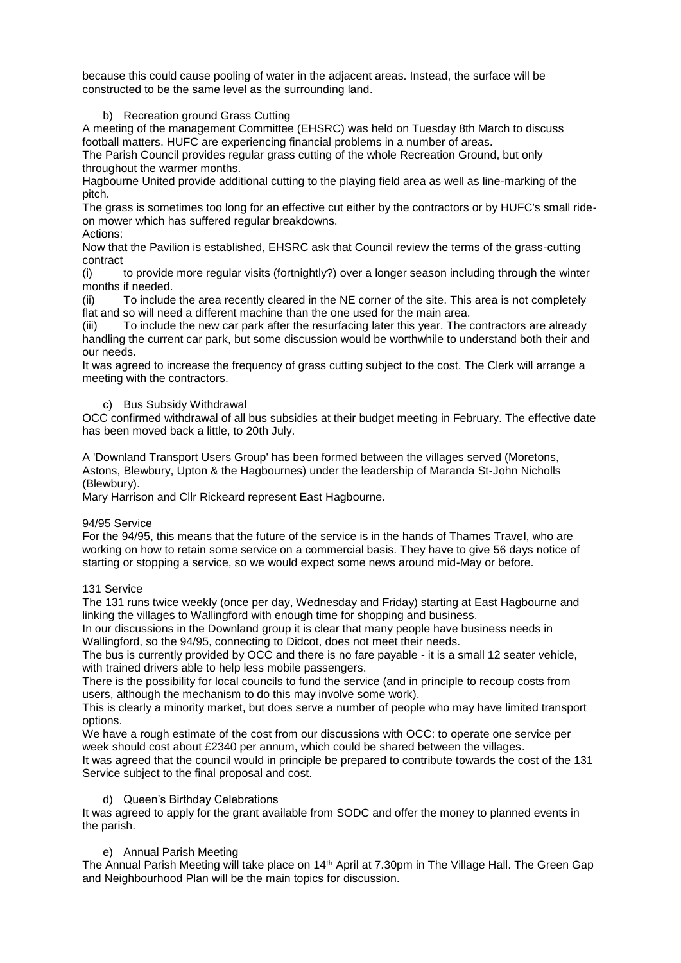because this could cause pooling of water in the adjacent areas. Instead, the surface will be constructed to be the same level as the surrounding land.

### b) Recreation ground Grass Cutting

A meeting of the management Committee (EHSRC) was held on Tuesday 8th March to discuss football matters. HUFC are experiencing financial problems in a number of areas.

The Parish Council provides regular grass cutting of the whole Recreation Ground, but only throughout the warmer months.

Hagbourne United provide additional cutting to the playing field area as well as line-marking of the pitch.

The grass is sometimes too long for an effective cut either by the contractors or by HUFC's small rideon mower which has suffered regular breakdowns.

Actions:

Now that the Pavilion is established, EHSRC ask that Council review the terms of the grass-cutting contract

(i) to provide more regular visits (fortnightly?) over a longer season including through the winter months if needed.

(ii) To include the area recently cleared in the NE corner of the site. This area is not completely flat and so will need a different machine than the one used for the main area.

(iii) To include the new car park after the resurfacing later this year. The contractors are already handling the current car park, but some discussion would be worthwhile to understand both their and our needs.

It was agreed to increase the frequency of grass cutting subject to the cost. The Clerk will arrange a meeting with the contractors.

### c) Bus Subsidy Withdrawal

OCC confirmed withdrawal of all bus subsidies at their budget meeting in February. The effective date has been moved back a little, to 20th July.

A 'Downland Transport Users Group' has been formed between the villages served (Moretons, Astons, Blewbury, Upton & the Hagbournes) under the leadership of Maranda St-John Nicholls (Blewbury).

Mary Harrison and Cllr Rickeard represent East Hagbourne.

#### 94/95 Service

For the 94/95, this means that the future of the service is in the hands of Thames Travel, who are working on how to retain some service on a commercial basis. They have to give 56 days notice of starting or stopping a service, so we would expect some news around mid-May or before.

#### 131 Service

The 131 runs twice weekly (once per day, Wednesday and Friday) starting at East Hagbourne and linking the villages to Wallingford with enough time for shopping and business.

In our discussions in the Downland group it is clear that many people have business needs in Wallingford, so the 94/95, connecting to Didcot, does not meet their needs.

The bus is currently provided by OCC and there is no fare payable - it is a small 12 seater vehicle, with trained drivers able to help less mobile passengers.

There is the possibility for local councils to fund the service (and in principle to recoup costs from users, although the mechanism to do this may involve some work).

This is clearly a minority market, but does serve a number of people who may have limited transport options.

We have a rough estimate of the cost from our discussions with OCC: to operate one service per week should cost about £2340 per annum, which could be shared between the villages.

It was agreed that the council would in principle be prepared to contribute towards the cost of the 131 Service subject to the final proposal and cost.

#### d) Queen's Birthday Celebrations

It was agreed to apply for the grant available from SODC and offer the money to planned events in the parish.

### e) Annual Parish Meeting

The Annual Parish Meeting will take place on 14<sup>th</sup> April at 7.30pm in The Village Hall. The Green Gap and Neighbourhood Plan will be the main topics for discussion.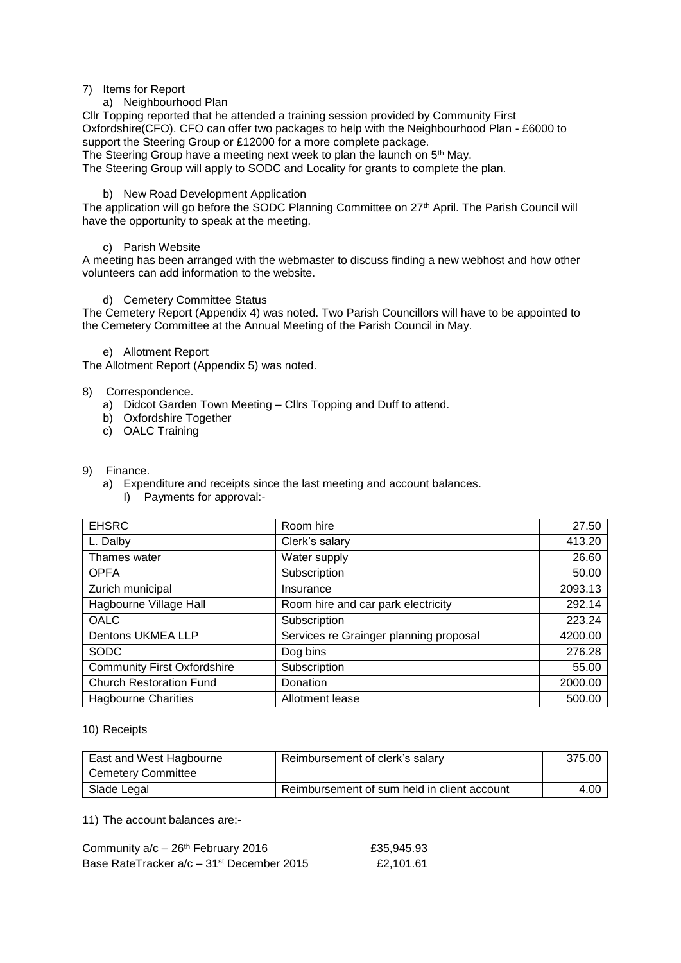#### 7) Items for Report

### a) Neighbourhood Plan

Cllr Topping reported that he attended a training session provided by Community First Oxfordshire(CFO). CFO can offer two packages to help with the Neighbourhood Plan - £6000 to support the Steering Group or £12000 for a more complete package.

The Steering Group have a meeting next week to plan the launch on 5<sup>th</sup> May.

The Steering Group will apply to SODC and Locality for grants to complete the plan.

### b) New Road Development Application

The application will go before the SODC Planning Committee on 27<sup>th</sup> April. The Parish Council will have the opportunity to speak at the meeting.

### c) Parish Website

A meeting has been arranged with the webmaster to discuss finding a new webhost and how other volunteers can add information to the website.

### d) Cemetery Committee Status

The Cemetery Report (Appendix 4) was noted. Two Parish Councillors will have to be appointed to the Cemetery Committee at the Annual Meeting of the Parish Council in May.

#### e) Allotment Report

The Allotment Report (Appendix 5) was noted.

### 8) Correspondence.

- a) Didcot Garden Town Meeting Cllrs Topping and Duff to attend.
- b) Oxfordshire Together
- c) OALC Training

#### 9) Finance.

- a) Expenditure and receipts since the last meeting and account balances.
	- I) Payments for approval:-

| <b>EHSRC</b>                       | Room hire                              | 27.50   |
|------------------------------------|----------------------------------------|---------|
| L. Dalby                           | Clerk's salary                         | 413.20  |
| Thames water                       | Water supply                           | 26.60   |
| <b>OPFA</b>                        | Subscription                           | 50.00   |
| Zurich municipal                   | Insurance                              | 2093.13 |
| Hagbourne Village Hall             | Room hire and car park electricity     | 292.14  |
| <b>OALC</b>                        | Subscription                           | 223.24  |
| Dentons UKMEA LLP                  | Services re Grainger planning proposal | 4200.00 |
| <b>SODC</b>                        | Dog bins                               | 276.28  |
| <b>Community First Oxfordshire</b> | Subscription                           | 55.00   |
| <b>Church Restoration Fund</b>     | Donation                               | 2000.00 |
| <b>Hagbourne Charities</b>         | Allotment lease                        | 500.00  |

#### 10) Receipts

| East and West Hagbourne | Reimbursement of clerk's salary             | 375.00 |
|-------------------------|---------------------------------------------|--------|
| Cemetery Committee      |                                             |        |
| Slade Legal             | Reimbursement of sum held in client account | 4.00   |

11) The account balances are:-

| Community $a/c - 26th$ February 2016                  | £35,945.93 |
|-------------------------------------------------------|------------|
| Base RateTracker a/c – 31 <sup>st</sup> December 2015 | £2.101.61  |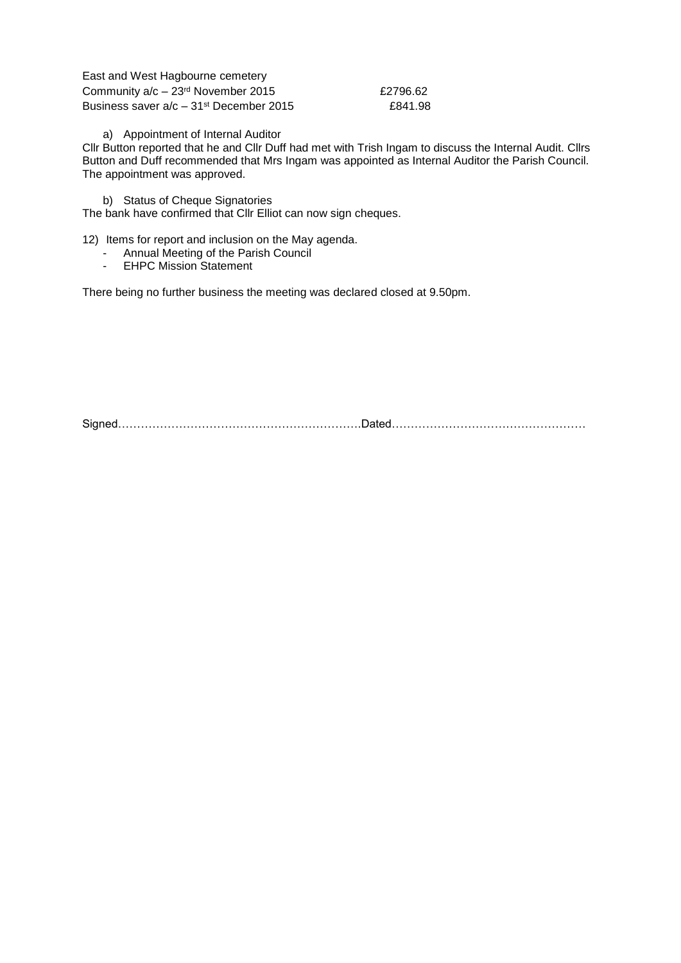| East and West Hagbourne cemetery                      |          |
|-------------------------------------------------------|----------|
| Community a/c - 23rd November 2015                    | £2796.62 |
| Business saver $a/c - 31$ <sup>st</sup> December 2015 | £841.98  |

a) Appointment of Internal Auditor

Cllr Button reported that he and Cllr Duff had met with Trish Ingam to discuss the Internal Audit. Cllrs Button and Duff recommended that Mrs Ingam was appointed as Internal Auditor the Parish Council. The appointment was approved.

b) Status of Cheque Signatories

The bank have confirmed that Cllr Elliot can now sign cheques.

12) Items for report and inclusion on the May agenda.

- Annual Meeting of the Parish Council<br>- EHPC Mission Statement
- EHPC Mission Statement

There being no further business the meeting was declared closed at 9.50pm.

Signed……………………………………………………….Dated……………………………………………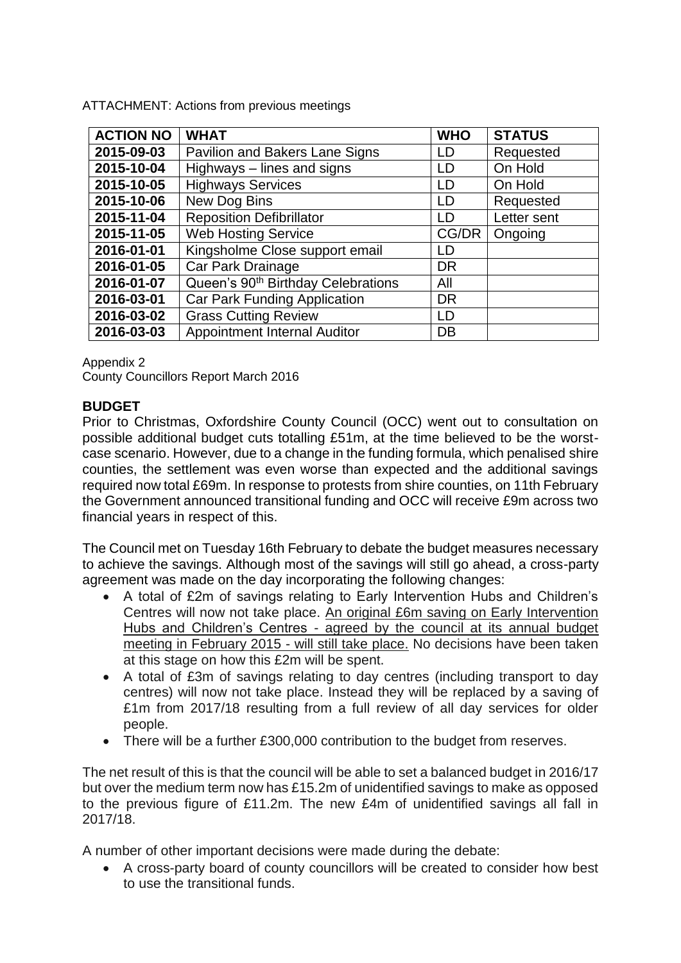**ACTION NO WHAT WHO STATUS 2015-09-03** Pavilion and Bakers Lane Signs LD Requested **2015-10-04** | Highways – lines and signs  $|LD|$  On Hold **2015-10-05** Highways Services LD LD On Hold **2015-10-06** New Dog Bins LD Requested **2015-11-04** Reposition Defibrillator **LACCO LETTER LETTER LETTER 1** Letter sent **2015-11-05** Web Hosting Service CG/DR Ongoing **2016-01-01** Kingsholme Close support email LD **2016-01-05** Car Park Drainage DR 2016-01-07 Queen's 90<sup>th</sup> Birthday Celebrations All **2016-03-01** Car Park Funding Application DR **2016-03-02** Grass Cutting Review 1DD **2016-03-03** Appointment Internal Auditor DB

ATTACHMENT: Actions from previous meetings

Appendix 2

County Councillors Report March 2016

### **BUDGET**

Prior to Christmas, Oxfordshire County Council (OCC) went out to consultation on possible additional budget cuts totalling £51m, at the time believed to be the worstcase scenario. However, due to a change in the funding formula, which penalised shire counties, the settlement was even worse than expected and the additional savings required now total £69m. In response to protests from shire counties, on 11th February the Government announced transitional funding and OCC will receive £9m across two financial years in respect of this.

The Council met on Tuesday 16th February to debate the budget measures necessary to achieve the savings. Although most of the savings will still go ahead, a cross-party agreement was made on the day incorporating the following changes:

- A total of £2m of savings relating to Early Intervention Hubs and Children's Centres will now not take place. An original £6m saving on Early Intervention Hubs and Children's Centres - agreed by the council at its annual budget meeting in February 2015 - will still take place. No decisions have been taken at this stage on how this £2m will be spent.
- A total of £3m of savings relating to day centres (including transport to day centres) will now not take place. Instead they will be replaced by a saving of £1m from 2017/18 resulting from a full review of all day services for older people.
- There will be a further £300,000 contribution to the budget from reserves.

The net result of this is that the council will be able to set a balanced budget in 2016/17 but over the medium term now has £15.2m of unidentified savings to make as opposed to the previous figure of £11.2m. The new £4m of unidentified savings all fall in 2017/18.

A number of other important decisions were made during the debate:

 A cross-party board of county councillors will be created to consider how best to use the transitional funds.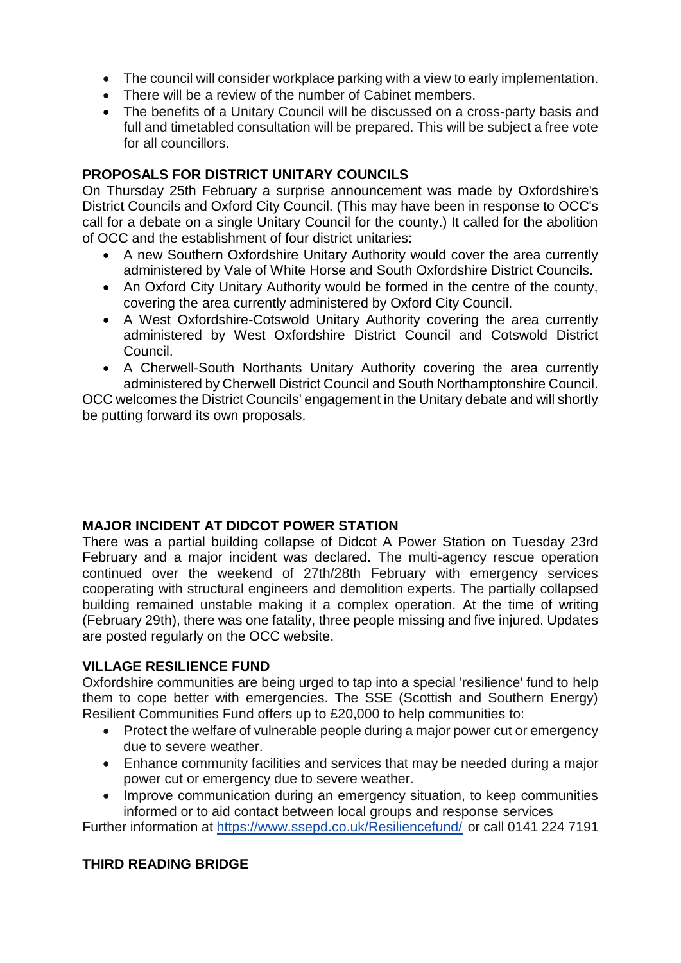- The council will consider workplace parking with a view to early implementation.
- There will be a review of the number of Cabinet members.
- The benefits of a Unitary Council will be discussed on a cross-party basis and full and timetabled consultation will be prepared. This will be subject a free vote for all councillors.

# **PROPOSALS FOR DISTRICT UNITARY COUNCILS**

On Thursday 25th February a surprise announcement was made by Oxfordshire's District Councils and Oxford City Council. (This may have been in response to OCC's call for a debate on a single Unitary Council for the county.) It called for the abolition of OCC and the establishment of four district unitaries:

- A new Southern Oxfordshire Unitary Authority would cover the area currently administered by Vale of White Horse and South Oxfordshire District Councils.
- An Oxford City Unitary Authority would be formed in the centre of the county, covering the area currently administered by Oxford City Council.
- A West Oxfordshire-Cotswold Unitary Authority covering the area currently administered by West Oxfordshire District Council and Cotswold District Council.
- A Cherwell-South Northants Unitary Authority covering the area currently administered by Cherwell District Council and South Northamptonshire Council.

OCC welcomes the District Councils' engagement in the Unitary debate and will shortly be putting forward its own proposals.

# **MAJOR INCIDENT AT DIDCOT POWER STATION**

There was a partial building collapse of Didcot A Power Station on Tuesday 23rd February and a major incident was declared. The multi-agency rescue operation continued over the weekend of 27th/28th February with emergency services cooperating with structural engineers and demolition experts. The partially collapsed building remained unstable making it a complex operation. At the time of writing (February 29th), there was one fatality, three people missing and five injured. Updates are posted regularly on the OCC website.

# **VILLAGE RESILIENCE FUND**

Oxfordshire communities are being urged to tap into a special 'resilience' fund to help them to cope better with emergencies. The SSE (Scottish and Southern Energy) Resilient Communities Fund offers up to £20,000 to help communities to:

- Protect the welfare of vulnerable people during a major power cut or emergency due to severe weather.
- Enhance community facilities and services that may be needed during a major power cut or emergency due to severe weather.
- Improve communication during an emergency situation, to keep communities informed or to aid contact between local groups and response services

Further information at<https://www.ssepd.co.uk/Resiliencefund/> or call 0141 224 7191

# **THIRD READING BRIDGE**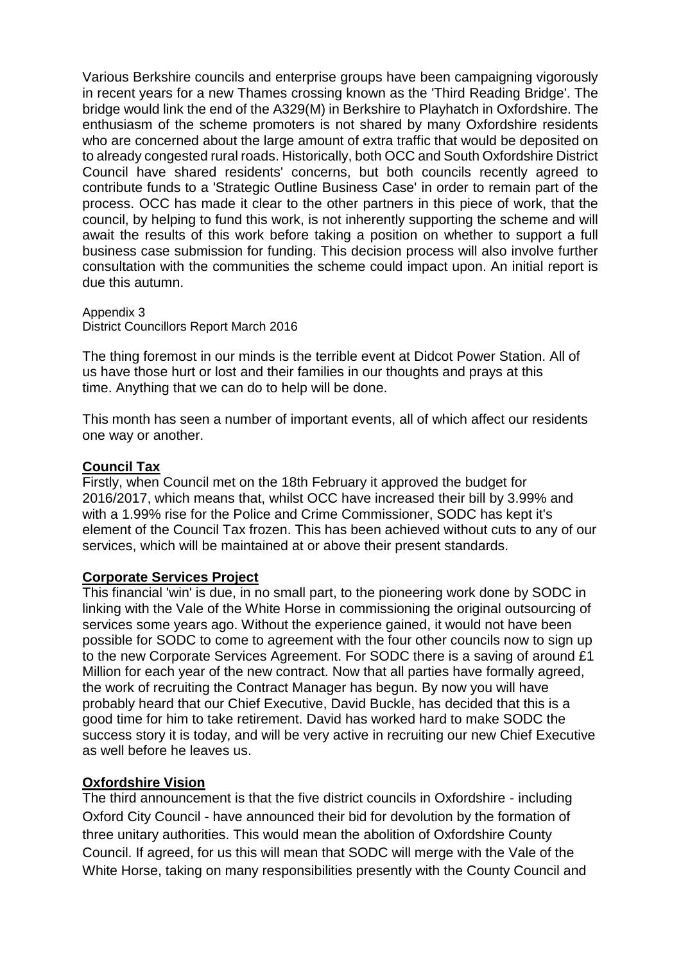Various Berkshire councils and enterprise groups have been campaigning vigorously in recent years for a new Thames crossing known as the 'Third Reading Bridge'. The bridge would link the end of the A329(M) in Berkshire to Playhatch in Oxfordshire. The enthusiasm of the scheme promoters is not shared by many Oxfordshire residents who are concerned about the large amount of extra traffic that would be deposited on to already congested rural roads. Historically, both OCC and South Oxfordshire District Council have shared residents' concerns, but both councils recently agreed to contribute funds to a 'Strategic Outline Business Case' in order to remain part of the process. OCC has made it clear to the other partners in this piece of work, that the council, by helping to fund this work, is not inherently supporting the scheme and will await the results of this work before taking a position on whether to support a full business case submission for funding. This decision process will also involve further consultation with the communities the scheme could impact upon. An initial report is due this autumn.

Appendix 3 District Councillors Report March 2016

The thing foremost in our minds is the terrible event at Didcot Power Station. All of us have those hurt or lost and their families in our thoughts and prays at this time. Anything that we can do to help will be done.

This month has seen a number of important events, all of which affect our residents one way or another.

### **Council Tax**

Firstly, when Council met on the 18th February it approved the budget for 2016/2017, which means that, whilst OCC have increased their bill by 3.99% and with a 1.99% rise for the Police and Crime Commissioner, SODC has kept it's element of the Council Tax frozen. This has been achieved without cuts to any of our services, which will be maintained at or above their present standards.

## **Corporate Services Project**

This financial 'win' is due, in no small part, to the pioneering work done by SODC in linking with the Vale of the White Horse in commissioning the original outsourcing of services some years ago. Without the experience gained, it would not have been possible for SODC to come to agreement with the four other councils now to sign up to the new Corporate Services Agreement. For SODC there is a saving of around £1 Million for each year of the new contract. Now that all parties have formally agreed, the work of recruiting the Contract Manager has begun. By now you will have probably heard that our Chief Executive, David Buckle, has decided that this is a good time for him to take retirement. David has worked hard to make SODC the success story it is today, and will be very active in recruiting our new Chief Executive as well before he leaves us.

## **Oxfordshire Vision**

The third announcement is that the five district councils in Oxfordshire - including Oxford City Council - have announced their bid for devolution by the formation of three unitary authorities. This would mean the abolition of Oxfordshire County Council. If agreed, for us this will mean that SODC will merge with the Vale of the White Horse, taking on many responsibilities presently with the County Council and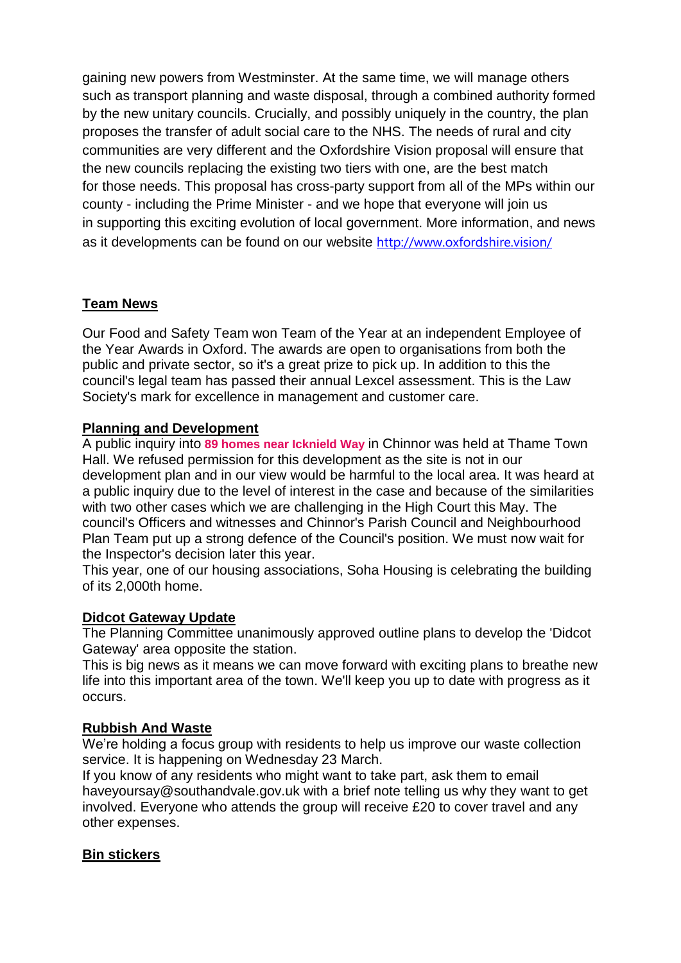gaining new powers from Westminster. At the same time, we will manage others such as transport planning and waste disposal, through a combined authority formed by the new unitary councils. Crucially, and possibly uniquely in the country, the plan proposes the transfer of adult social care to the NHS. The needs of rural and city communities are very different and the Oxfordshire Vision proposal will ensure that the new councils replacing the existing two tiers with one, are the best match for those needs. This proposal has cross-party support from all of the MPs within our county - including the Prime Minister - and we hope that everyone will join us in supporting this exciting evolution of local government. More information, and news as it developments can be found on our website <http://www.oxfordshire.vision/>

# **Team News**

Our Food and Safety Team won Team of the Year at an independent Employee of the Year Awards in Oxford. The awards are open to organisations from both the public and private sector, so it's a great prize to pick up. In addition to this the council's legal team has passed their annual Lexcel assessment. This is the Law Society's mark for excellence in management and customer care.

## **Planning and Development**

A public inquiry into **[89 homes near](http://southandvale.us8.list-manage1.com/track/click?u=33bec1cf8b5523ad47c7183a0&id=9356dcf710&e=eda6ce4f57) Icknield Way** in Chinnor was held at Thame Town Hall. We refused permission for this development as the site is not in our development plan and in our view would be harmful to the local area. It was heard at a public inquiry due to the level of interest in the case and because of the similarities with two other cases which we are challenging in the High Court this May. The council's Officers and witnesses and Chinnor's Parish Council and Neighbourhood Plan Team put up a strong defence of the Council's position. We must now wait for the Inspector's decision later this year.

This year, one of our housing associations, Soha Housing is celebrating the building of its 2,000th home.

## **Didcot Gateway Update**

The Planning Committee unanimously approved outline plans to develop the 'Didcot Gateway' area opposite the station.

This is big news as it means we can move forward with exciting plans to breathe new life into this important area of the town. We'll keep you up to date with progress as it occurs.

## **Rubbish And Waste**

We're holding a focus group with residents to help us improve our waste collection service. It is happening on Wednesday 23 March.

If you know of any residents who might want to take part, ask them to email haveyoursay@southandvale.gov.uk with a brief note telling us why they want to get involved. Everyone who attends the group will receive £20 to cover travel and any other expenses.

# **Bin stickers**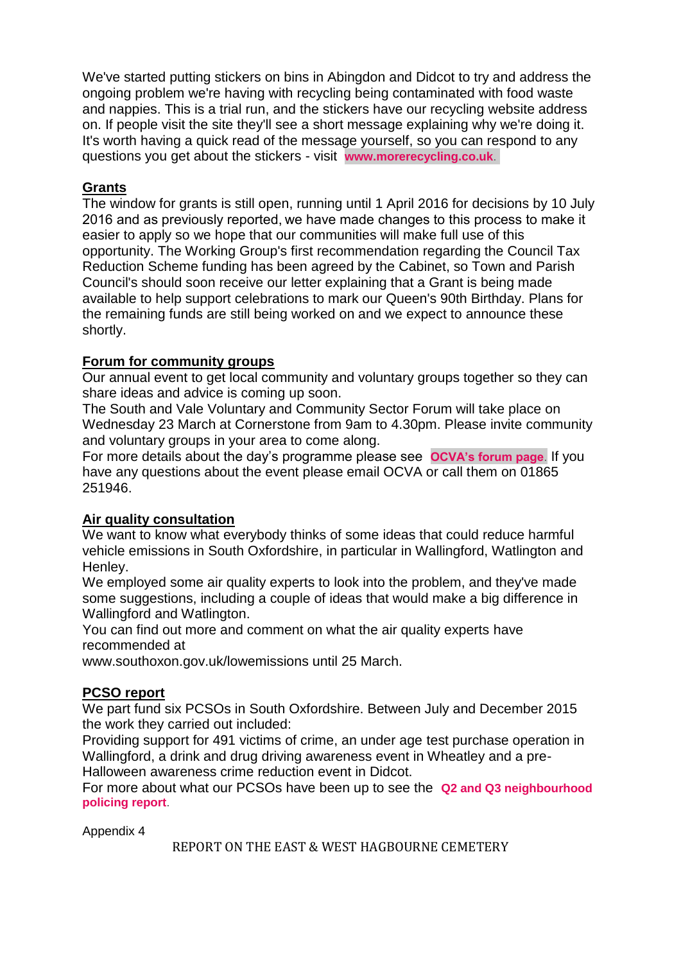We've started putting stickers on bins in Abingdon and Didcot to try and address the ongoing problem we're having with recycling being contaminated with food waste and nappies. This is a trial run, and the stickers have our recycling website address on. If people visit the site they'll see a short message explaining why we're doing it. It's worth having a quick read of the message yourself, so you can respond to any questions you get about the stickers - visit **[www.morerecycling.co.uk](http://southandvale.us8.list-manage1.com/track/click?u=33bec1cf8b5523ad47c7183a0&id=c9efc07905&e=eda6ce4f57)**.

## **Grants**

The window for grants is still open, running until 1 April 2016 for decisions by 10 July 2016 and as previously reported, we have made changes to this process to make it easier to apply so we hope that our communities will make full use of this opportunity. The Working Group's first recommendation regarding the Council Tax Reduction Scheme funding has been agreed by the Cabinet, so Town and Parish Council's should soon receive our letter explaining that a Grant is being made available to help support celebrations to mark our Queen's 90th Birthday. Plans for the remaining funds are still being worked on and we expect to announce these shortly.

## **Forum for community groups**

Our annual event to get local community and voluntary groups together so they can share ideas and advice is coming up soon.

The South and Vale Voluntary and Community Sector Forum will take place on Wednesday 23 March at Cornerstone from 9am to 4.30pm. Please invite community and voluntary groups in your area to come along.

For more details about the day's programme please see **[OCVA's forum page](http://southandvale.us8.list-manage1.com/track/click?u=33bec1cf8b5523ad47c7183a0&id=368350441e&e=eda6ce4f57)**. If you have any questions about the event please email OCVA or call them on 01865 251946.

# **Air quality consultation**

We want to know what everybody thinks of some ideas that could reduce harmful vehicle emissions in South Oxfordshire, in particular in Wallingford, Watlington and Henley.

We employed some air quality experts to look into the problem, and they've made some suggestions, including a couple of ideas that would make a big difference in Wallingford and Watlington.

You can find out more and comment on what the air quality experts have recommended at

www.southoxon.gov.uk/lowemissions until 25 March.

## **PCSO report**

We part fund six PCSOs in South Oxfordshire. Between July and December 2015 the work they carried out included:

Providing support for 491 victims of crime, an under age test purchase operation in Wallingford, a drink and drug driving awareness event in Wheatley and a pre-Halloween awareness crime reduction event in Didcot.

For more about what our PCSOs have been up to see the **[Q2 and Q3 neighbourhood](http://southandvale.us8.list-manage2.com/track/click?u=33bec1cf8b5523ad47c7183a0&id=49f18f9eac&e=eda6ce4f57)  [policing](http://southandvale.us8.list-manage2.com/track/click?u=33bec1cf8b5523ad47c7183a0&id=49f18f9eac&e=eda6ce4f57) report**.

Appendix 4

REPORT ON THE EAST & WEST HAGBOURNE CEMETERY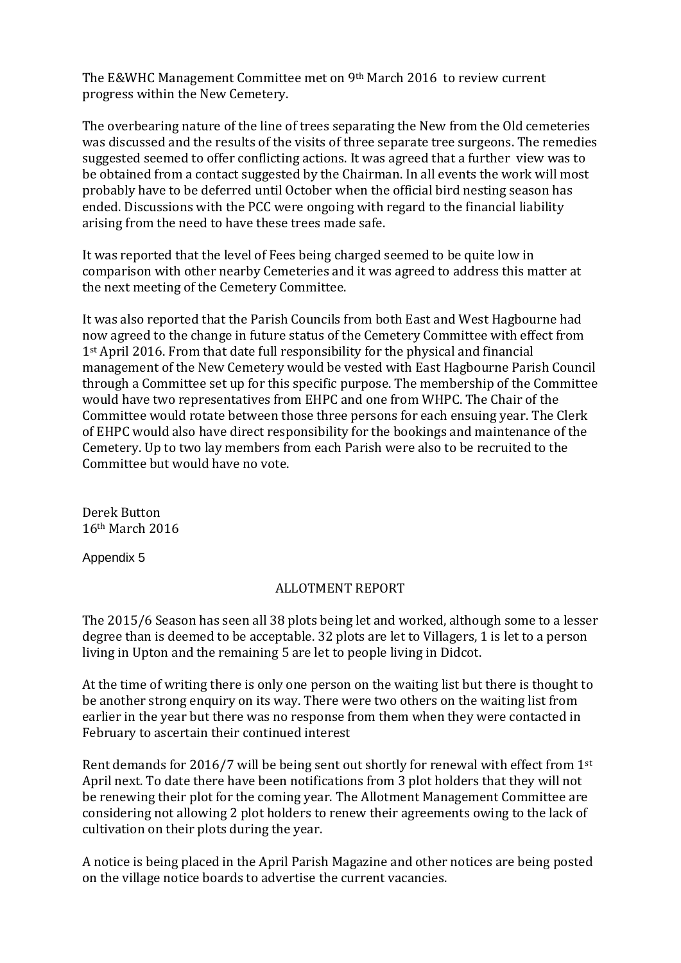The E&WHC Management Committee met on 9th March 2016 to review current progress within the New Cemetery.

The overbearing nature of the line of trees separating the New from the Old cemeteries was discussed and the results of the visits of three separate tree surgeons. The remedies suggested seemed to offer conflicting actions. It was agreed that a further view was to be obtained from a contact suggested by the Chairman. In all events the work will most probably have to be deferred until October when the official bird nesting season has ended. Discussions with the PCC were ongoing with regard to the financial liability arising from the need to have these trees made safe.

It was reported that the level of Fees being charged seemed to be quite low in comparison with other nearby Cemeteries and it was agreed to address this matter at the next meeting of the Cemetery Committee.

It was also reported that the Parish Councils from both East and West Hagbourne had now agreed to the change in future status of the Cemetery Committee with effect from 1<sup>st</sup> April 2016. From that date full responsibility for the physical and financial management of the New Cemetery would be vested with East Hagbourne Parish Council through a Committee set up for this specific purpose. The membership of the Committee would have two representatives from EHPC and one from WHPC. The Chair of the Committee would rotate between those three persons for each ensuing year. The Clerk of EHPC would also have direct responsibility for the bookings and maintenance of the Cemetery. Up to two lay members from each Parish were also to be recruited to the Committee but would have no vote.

Derek Button 16th March 2016

Appendix 5

# ALLOTMENT REPORT

The 2015/6 Season has seen all 38 plots being let and worked, although some to a lesser degree than is deemed to be acceptable. 32 plots are let to Villagers, 1 is let to a person living in Upton and the remaining 5 are let to people living in Didcot.

At the time of writing there is only one person on the waiting list but there is thought to be another strong enquiry on its way. There were two others on the waiting list from earlier in the year but there was no response from them when they were contacted in February to ascertain their continued interest

Rent demands for 2016/7 will be being sent out shortly for renewal with effect from 1st April next. To date there have been notifications from 3 plot holders that they will not be renewing their plot for the coming year. The Allotment Management Committee are considering not allowing 2 plot holders to renew their agreements owing to the lack of cultivation on their plots during the year.

A notice is being placed in the April Parish Magazine and other notices are being posted on the village notice boards to advertise the current vacancies.